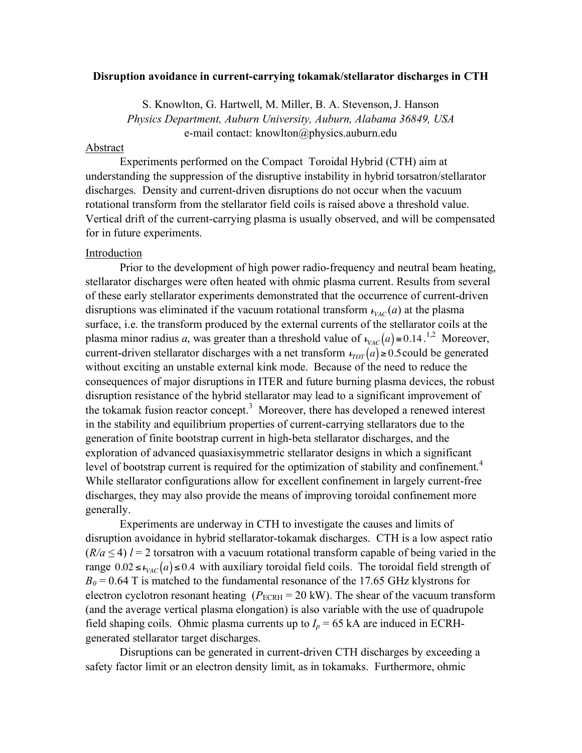## **Disruption avoidance in current-carrying tokamak/stellarator discharges in CTH**

S. Knowlton, G. Hartwell, M. Miller, B. A. Stevenson,J. Hanson *Physics Department, Auburn University, Auburn, Alabama 36849, USA* e-mail contact: knowlton@physics.auburn.edu

## Abstract

Experiments performed on the Compact Toroidal Hybrid (CTH) aim at understanding the suppression of the disruptive instability in hybrid torsatron/stellarator discharges. Density and current-driven disruptions do not occur when the vacuum rotational transform from the stellarator field coils is raised above a threshold value. Vertical drift of the current-carrying plasma is usually observed, and will be compensated for in future experiments.

## Introduction

Prior to the development of high power radio-frequency and neutral beam heating, stellarator discharges were often heated with ohmic plasma current. Results from several of these early stellarator experiments demonstrated that the occurrence of current-driven disruptions was eliminated if the vacuum rotational transform  $\iota_{VAC}(a)$  at the plasma current-driven stellarator discharges with a net transform  $t_{TOT}(a) \ge 0.5$  could be generated surface, i.e. the transform produced by the external currents of the stellarator coils at the plasma minor radius *a*, was greater than a threshold value of  $\iota_{\text{vac}}(a) \approx 0.14$ .<sup>1,2</sup> Moreover, ! consequences of major disruptions in ITER and future burning plasma devices, the robust the tokamak fusion reactor concept.<sup>3</sup> Moreover, there has developed a renewed interest without exciting an unstable external kink mode. Because of the need to reduce the disruption resistance of the hybrid stellarator may lead to a significant improvement of in the stability and equilibrium properties of current-carrying stellarators due to the generation of finite bootstrap current in high-beta stellarator discharges, and the exploration of advanced quasiaxisymmetric stellarator designs in which a significant level of bootstrap current is required for the optimization of stability and confinement.<sup>4</sup> While stellarator configurations allow for excellent confinement in largely current-free discharges, they may also provide the means of improving toroidal confinement more generally.

Experiments are underway in CTH to investigate the causes and limits of disruption avoidance in hybrid stellarator-tokamak discharges. CTH is a low aspect ratio  $(R/a \le 4)$  *l* = 2 torsatron with a vacuum rotational transform capable of being varied in the range  $0.02 \le t_{VAC}(a) \le 0.4$  with auxiliary toroidal field coils. The toroidal field strength of  $B_0$  = 0.64 T is matched to the fundamental resonance of the 17.65 GHz klystrons for electron cyclotron resonant heating  $(P_{ECRH} = 20 \text{ kW})$ . The shear of the vacuum transform (and the average vertical plasma elongation) is also variable with the use of quadrupole field shaping coils. Ohmic plasma currents up to  $I_p = 65$  kA are induced in ECRHgenerated stellarator target discharges.

Disruptions can be generated in current-driven CTH discharges by exceeding a safety factor limit or an electron density limit, as in tokamaks. Furthermore, ohmic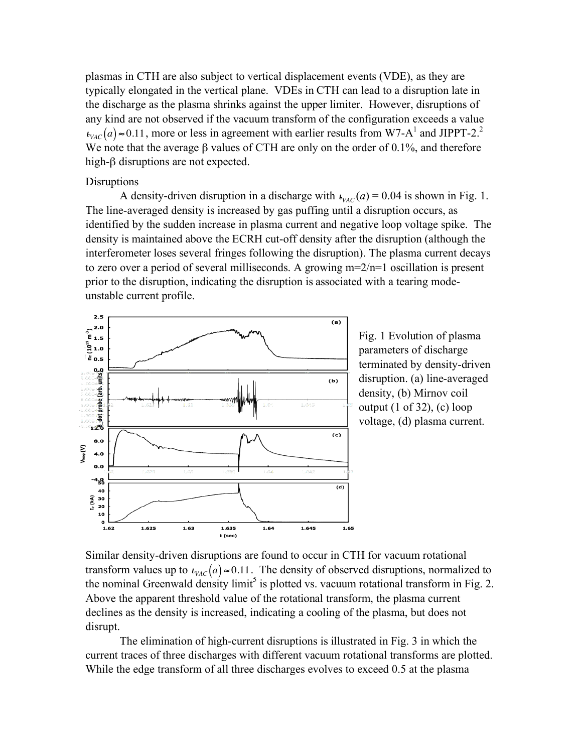plasmas in CTH are also subject to vertical displacement events (VDE), as they are typically elongated in the vertical plane. VDEs in CTH can lead to a disruption late in the discharge as the plasma shrinks against the upper limiter. However, disruptions of any kind are not observed if the vacuum transform of the configuration exceeds a value  $\nu_{VAC}(a) \approx 0.11$ , more or less in agreement with earlier results from W7-A<sup>1</sup> and JIPPT-2.<sup>2</sup> We note that the average  $\beta$  values of CTH are only on the order of 0.1%, and therefore high-β disruptions are not expected.

## **Disruptions**

A density-driven disruption in a discharge with  $\iota_{VAC}(a) = 0.04$  is shown in Fig. 1. ! density is maintained above the ECRH cut-off density after the disruption (although the The line-averaged density is increased by gas puffing until a disruption occurs, as identified by the sudden increase in plasma current and negative loop voltage spike. The interferometer loses several fringes following the disruption). The plasma current decays to zero over a period of several milliseconds. A growing  $m=2/n=1$  oscillation is present prior to the disruption, indicating the disruption is associated with a tearing modeunstable current profile.



Fig. 1 Evolution of plasma parameters of discharge terminated by density-driven disruption. (a) line-averaged density, (b) Mirnov coil output (1 of 32), (c) loop voltage, (d) plasma current.

Similar density-driven disruptions are found to occur in CTH for vacuum rotational transform values up to  $\iota_{\text{vac}}(a) \approx 0.11$ . The density of observed disruptions, normalized to declines as the density is increased, indicating a cooling of the plasma, but does not the nominal Greenwald density  $\lim_{t \to \infty} i^5$  is plotted vs. vacuum rotational transform in Fig. 2. Above the apparent threshold value of the rotational transform, the plasma current disrupt.

The elimination of high-current disruptions is illustrated in Fig. 3 in which the current traces of three discharges with different vacuum rotational transforms are plotted. While the edge transform of all three discharges evolves to exceed 0.5 at the plasma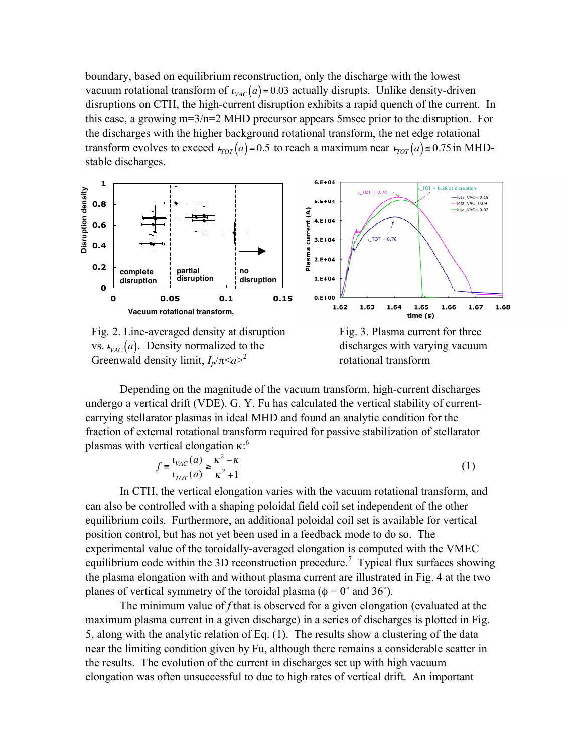boundary, based on equilibrium reconstruction, only the discharge with the lowest vacuum rotational transform of  $\iota_{VAC}(a) = 0.03$  actually disrupts. Unlike density-driven transform evolves to exceed  $t_{TOT}(a) = 0.5$  to reach a maximum near  $t_{TOT}(a) \approx 0.75$  in MHDdisruptions on CTH, the high-current disruption exhibits a rapid quench of the current. In this case, a growing m=3/n=2 MHD precursor appears 5msec prior to the disruption. For the discharges with the higher background rotational transform, the net edge rotational stable discharges.







Depending on the magnitude of the vacuum transform, high-current discharges undergo a vertical drift (VDE). G. Y. Fu has calculated the vertical stability of currentcarrying stellarator plasmas in ideal MHD and found an analytic condition for the fraction of external rotational transform required for passive stabilization of stellarator plasmas with vertical elongation κ:<sup>6</sup>

$$
f = \frac{\iota_{VAC}(a)}{\iota_{TOT}(a)} \ge \frac{\kappa^2 - \kappa}{\kappa^2 + 1}
$$
 (1)

equilibrium coils. Furthermore, an additional poloidal coil set is available for vertical In CTH, the vertical elongation varies with the vacuum rotational transform, and can also be controlled with a shaping poloidal field coil set independent of the other position control, but has not yet been used in a feedback mode to do so. The experimental value of the toroidally-averaged elongation is computed with the VMEC equilibrium code within the 3D reconstruction procedure.<sup>7</sup> Typical flux surfaces showing the plasma elongation with and without plasma current are illustrated in Fig. 4 at the two planes of vertical symmetry of the toroidal plasma ( $\phi = 0^{\circ}$  and 36°).

The minimum value of *f* that is observed for a given elongation (evaluated at the maximum plasma current in a given discharge) in a series of discharges is plotted in Fig. 5, along with the analytic relation of Eq. (1). The results show a clustering of the data near the limiting condition given by Fu, although there remains a considerable scatter in the results. The evolution of the current in discharges set up with high vacuum elongation was often unsuccessful to due to high rates of vertical drift. An important